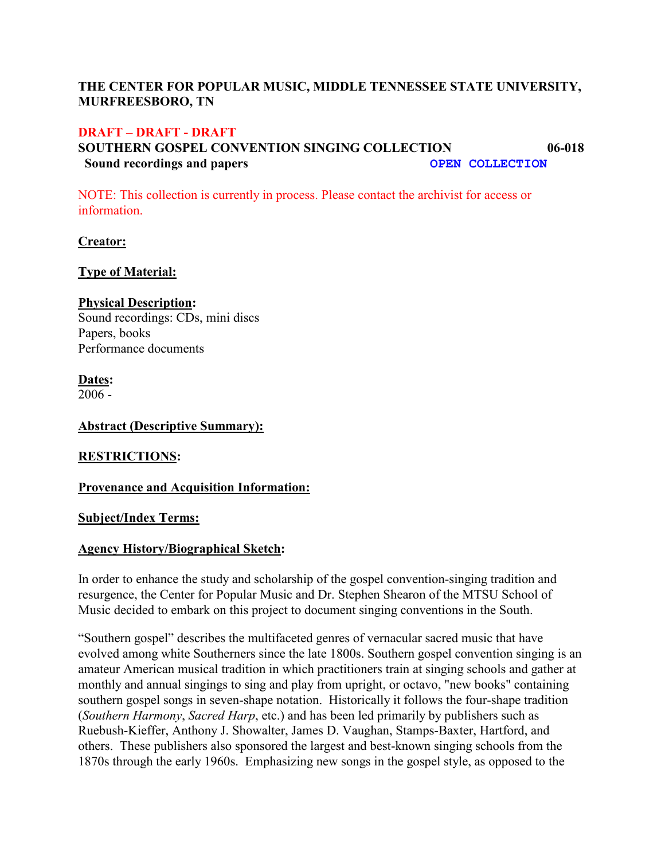# **THE CENTER FOR POPULAR MUSIC, MIDDLE TENNESSEE STATE UNIVERSITY, MURFREESBORO, TN**

### **DRAFT – DRAFT - DRAFT**

# **SOUTHERN GOSPEL CONVENTION SINGING COLLECTION 06-018 Sound recordings and papers COLLECTION**

NOTE: This collection is currently in process. Please contact the archivist for access or information.

**Creator:**

### **Type of Material:**

#### **Physical Description:**

Sound recordings: CDs, mini discs Papers, books Performance documents

**Dates:**

2006 -

#### **Abstract (Descriptive Summary):**

### **RESTRICTIONS:**

### **Provenance and Acquisition Information:**

### **Subject/Index Terms:**

# **Agency History/Biographical Sketch:**

In order to enhance the study and scholarship of the gospel convention-singing tradition and resurgence, the Center for Popular Music and Dr. Stephen Shearon of the MTSU School of Music decided to embark on this project to document singing conventions in the South.

"Southern gospel" describes the multifaceted genres of vernacular sacred music that have evolved among white Southerners since the late 1800s. Southern gospel convention singing is an amateur American musical tradition in which practitioners train at singing schools and gather at monthly and annual singings to sing and play from upright, or octavo, "new books" containing southern gospel songs in seven-shape notation. Historically it follows the four-shape tradition (*Southern Harmony*, *Sacred Harp*, etc.) and has been led primarily by publishers such as Ruebush-Kieffer, Anthony J. Showalter, James D. Vaughan, Stamps-Baxter, Hartford, and others. These publishers also sponsored the largest and best-known singing schools from the 1870s through the early 1960s. Emphasizing new songs in the gospel style, as opposed to the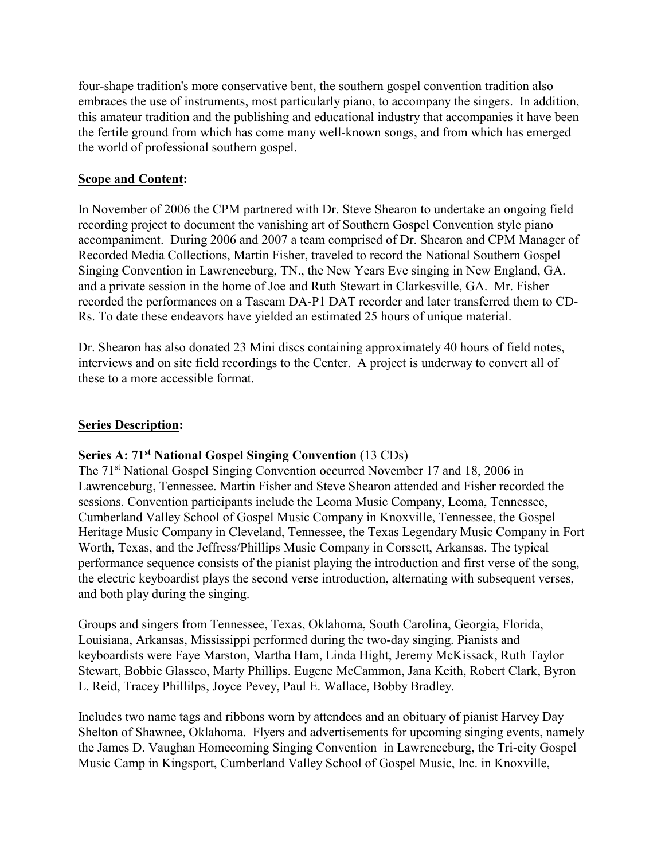four-shape tradition's more conservative bent, the southern gospel convention tradition also embraces the use of instruments, most particularly piano, to accompany the singers. In addition, this amateur tradition and the publishing and educational industry that accompanies it have been the fertile ground from which has come many well-known songs, and from which has emerged the world of professional southern gospel.

# **Scope and Content:**

In November of 2006 the CPM partnered with Dr. Steve Shearon to undertake an ongoing field recording project to document the vanishing art of Southern Gospel Convention style piano accompaniment. During 2006 and 2007 a team comprised of Dr. Shearon and CPM Manager of Recorded Media Collections, Martin Fisher, traveled to record the National Southern Gospel Singing Convention in Lawrenceburg, TN., the New Years Eve singing in New England, GA. and a private session in the home of Joe and Ruth Stewart in Clarkesville, GA. Mr. Fisher recorded the performances on a Tascam DA-P1 DAT recorder and later transferred them to CD-Rs. To date these endeavors have yielded an estimated 25 hours of unique material.

Dr. Shearon has also donated 23 Mini discs containing approximately 40 hours of field notes, interviews and on site field recordings to the Center. A project is underway to convert all of these to a more accessible format.

### **Series Description:**

# **Series A: 71st National Gospel Singing Convention** (13 CDs)

The 71<sup>st</sup> National Gospel Singing Convention occurred November 17 and 18, 2006 in Lawrenceburg, Tennessee. Martin Fisher and Steve Shearon attended and Fisher recorded the sessions. Convention participants include the Leoma Music Company, Leoma, Tennessee, Cumberland Valley School of Gospel Music Company in Knoxville, Tennessee, the Gospel Heritage Music Company in Cleveland, Tennessee, the Texas Legendary Music Company in Fort Worth, Texas, and the Jeffress/Phillips Music Company in Corssett, Arkansas. The typical performance sequence consists of the pianist playing the introduction and first verse of the song, the electric keyboardist plays the second verse introduction, alternating with subsequent verses, and both play during the singing.

Groups and singers from Tennessee, Texas, Oklahoma, South Carolina, Georgia, Florida, Louisiana, Arkansas, Mississippi performed during the two-day singing. Pianists and keyboardists were Faye Marston, Martha Ham, Linda Hight, Jeremy McKissack, Ruth Taylor Stewart, Bobbie Glassco, Marty Phillips. Eugene McCammon, Jana Keith, Robert Clark, Byron L. Reid, Tracey Phillilps, Joyce Pevey, Paul E. Wallace, Bobby Bradley.

Includes two name tags and ribbons worn by attendees and an obituary of pianist Harvey Day Shelton of Shawnee, Oklahoma. Flyers and advertisements for upcoming singing events, namely the James D. Vaughan Homecoming Singing Convention in Lawrenceburg, the Tri-city Gospel Music Camp in Kingsport, Cumberland Valley School of Gospel Music, Inc. in Knoxville,